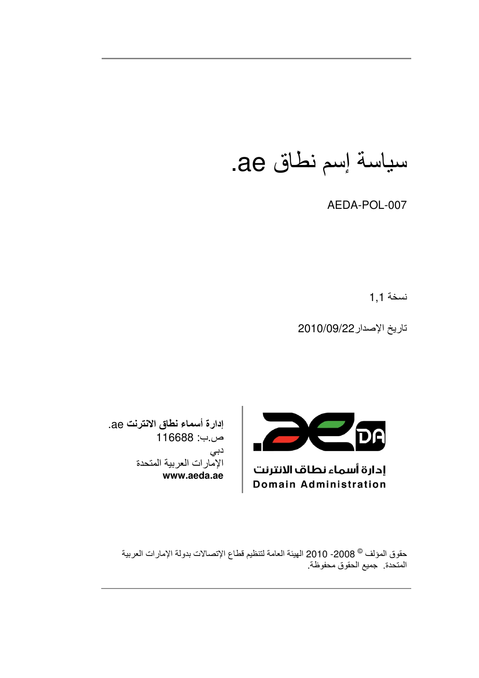سياسة إسم نطاق ae.

AEDA-POL-007

نسخة 1,1

تاريخ الإصدار 2010/09/22



إدارة أسماء نطاق الانترنت Domain Administration

إدارة أسماء نطاق الانترنت ae. ص ب: 116688 دبي الإمارات العربية المتحدة www.aeda.ae

> حقوق المؤلف © 2008- 2010 الهيئة العامة لتنظيم قطاع الإتصالات بدولة الإمارات العربية المتحدة جميع الحقوق محفوظة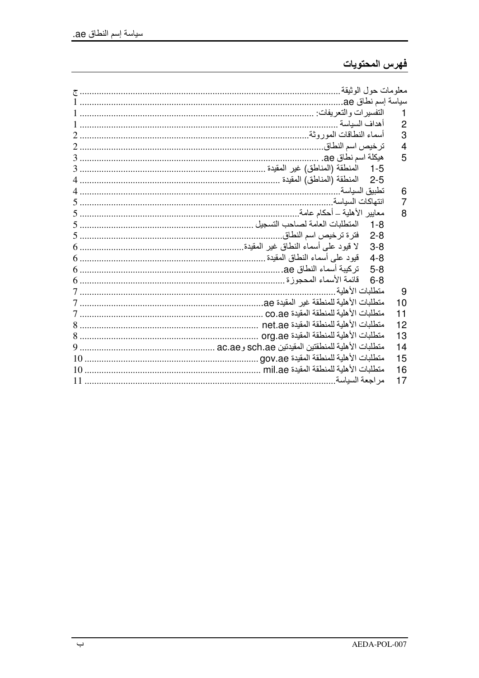# فهرس المحتويات

|    | أهداف السباسة                    | 2  |
|----|----------------------------------|----|
|    |                                  | 3  |
|    |                                  | 4  |
|    |                                  | 5  |
|    |                                  |    |
|    |                                  |    |
|    | تطببق السباسة                    | 6  |
|    | انتهاكات السباسة                 | 7  |
|    |                                  | 8  |
|    |                                  |    |
|    | فترة ترخيص اسم النطاق<br>$2 - 8$ |    |
|    | $3 - 8$                          |    |
|    | $4 - 8$                          |    |
|    |                                  |    |
|    |                                  |    |
|    | متطلبات الأهلبة                  | 9  |
|    |                                  | 10 |
|    |                                  | 11 |
|    |                                  | 12 |
|    |                                  | 13 |
|    |                                  | 14 |
|    |                                  | 15 |
| 10 |                                  | 16 |
|    | مر اجعة السباسة                  | 17 |
|    |                                  |    |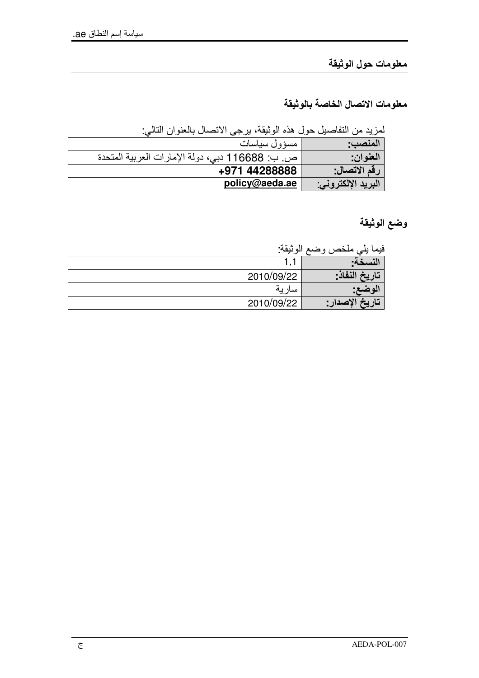معلومات حول الوثيقة

معلومات الاتصال الخاصة بالوثيقة

لمزيد من التفاصيل حول هذه الوثيقة، يرجى الاتصال بالعنوان التالي:

| مسؤول سياسات                                    | المنصب:            |
|-------------------------------------------------|--------------------|
| ص. ب: 116688 دبي، دولة الإمارات العربية المتحدة | العنوان:           |
| +971 44288888                                   | ' رقم الاتصال: ا   |
| policy@aeda.ae                                  | البريد الإلكتروني: |

وضع الوثيقة

فيما يلي ملخص وضع الوثيقة·

| . <del>. .</del> |            |
|------------------|------------|
|                  | . .        |
| تاريخ النفاذ-    | 2010/09/22 |
|                  |            |
| 'تاريخ الإصدار : | 2010/09/22 |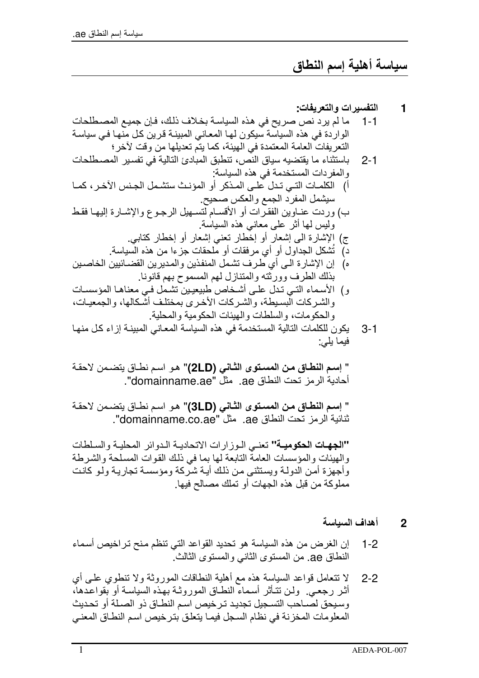سياسة أهلية إسم النطاق

التفسير ات و التعريفات:

1

- ما لم يرد نص صريح في هذه السياسة بخلاف ذلك، فإن جميع المصطلحات  $1 - 1$ الواردة في هذه السياسة سيكون لهـا المعـانـي المبينــة قرين كـل منـهـا فـي سياسـة النعريفات العامة المعتمدة في الهيئة، كما يتم تعديلها من وقت لأخر؛
- باستثناء ما يقتضيه سياق النص، تنطبق المبادئ التالية في تفسير المصطلحات  $2 - 1$ والمفردات المستخدمة في هذه السياسة:
- أ) الكلمـات التـى تـدل علـى المـذكر أو المؤنـث ستشـمل الجـنس الآخـر ، كمــا سيشمل المفرد الجمع والعكس صحيح
- ب) وردت عنـاوين الفقـرات أو الأقسـام لتسـهيل الرجـوع والإشـارة إليهـا فقط وليس لها أثر على معانى هذه السياسة.
	- ج) الإشارة الى إشعار أو إخْطار نعني إشعار أو إخطار كتابي. دٍّ) تُشكِّل الجداول أو أي مرفقات أو ملحقات جزءا من هذه السَّياسة.
- ه) إن الإشار ة الـي أي طر ف تشمل المنفذين و المدير بن القضـائيين الخاصـين بذلك الطر ف وور ثته و المتناز ل لهم المسمو ح بهم قانو نا.
- و) الأسماء التي تدل على أشخاص طبيعيين تشمل في معناها المؤسسات والشركات البسيطة، والشركات الأخرى بمختلف أشكالها، والجمعيات، والحكومات، والسلطات والهيئات الحكومية والمحلية.
- يكون للكلمات التالية المستخدمة في هذه السياسة المعاني المبينـة إز اء كل منهـا - 3-1 فيما يلي:

" إسم النطاق من المستوى الثاني (2LD)" هو اسم نطاق يتضمن لاحقة أحادية الرمز تحت النطاق ae مثل "domainname.ae".

" إسم النطاق من المستوى الثاني (3LD)" هو اسم نطاق يتضمن لاحقة ثنائية الر مز تحت النطاق ae. مثل "domainname.co.ae".

"الجهات الحكومية" تعني البوزار ات الاتحاديبة الدوائر المحليبة والسلطات والهيئات والمؤسسات العامة التابعة لها بما في ذلك القوات المسلحة والشرطة و أجهز ة أمن الدولـة وبستثنـى من ذلك أبـة شرّ كـة ومؤسسـة تجار بـة ولـو كانـت مملوكة من قبل هذه الجهات أو تملك مصـالح فيها.

- أهداف السياسة  $\mathbf 2$
- إن الغرض من هذه السياسة هو تحديد القواعد التي تنظم منح تراخيص أسماء  $1 - 2$ النطاق ae من المستوى الثانبي والمستوى الثالث
- لا تتعامل قواعد السياسة هذه مع أهلية النطاقات الموروثة ولا تنطوي علىي أي  $2 - 2$ أثر رجعي ولن تتأثر أسماء النطاق الموروثـة بهذه السياسـة أو بقواعدها، وسيحق لصـاحب التسـجيل تجديـد تـر خيص اسـم النطـاق ذو الصـلـة أو تحـديث المعلومات المخزنة في نظام السجل فيمـا يتعلق بتر خيص اسم النطـاق المعنـي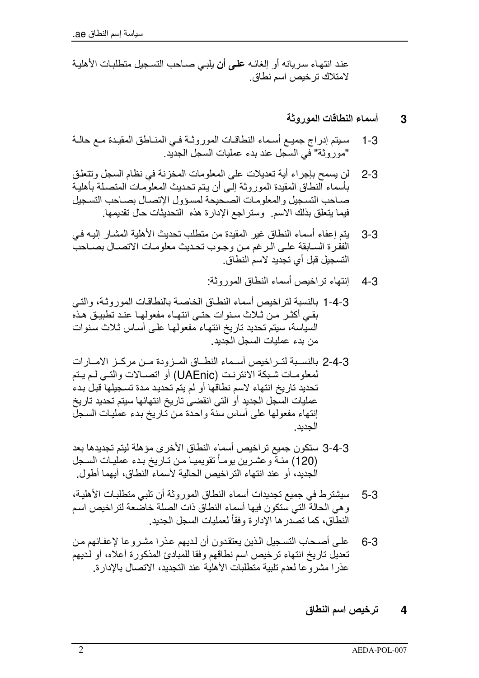عند انتهاء سر يانه أو الغائـه علـى أن يلبـي صـاحب التسـجيل متطلبـات الأهليـة لامتلاك ترخيص اسم نطاق

# أسماع النطاقات المور وثة 3

- سبتم إدراج جميع أسماء النطاقات الموروثية فيي المناطق المقيدة مع حالية  $1 - 3$ "موروثة" في السَّجل عند بدء عمليات السجل الجديد
- لن يسمح بإجر اء أية تعديلات على المعلومات المخز نـة في نظام السجل وتتعلـق  $2 - 3$ بأسماء النطاق المقيدة الموروثة إلىي أن يتم تحديث المعلومات المتصلة بأهلية صباحب التسجيل والمعلومات الصبحيحة لمسؤول الإتصبال بصباحب التسجيل فيما يتعلَّق بذلك الاسم. ۖ وستراجع الإدارة هذه ۖ التحديثات حال تقديمها.
- يتم إعفاء أسماء النطاق غير المقيدة من منطلب تحديث الأهلية المشـار إليـه فـي  $3 - 3$ الفقرة السابقة على الرغم من وجوب تحديث معلومات الاتصال بصاحب التسجيل قبل أي تجديد لاسم النطاق
	- إنتهاء تر اخبص أسماء النطاق المور وثة:  $4 - 3$
- 3-4-1 بالنسبة لتراخيص أسماء النطاق الخاصة بالنطاقات الموروثـة، والتـى بقي أكثـر مـن ثـلاث سـنوات حتـى انتهـاء مفعولهـا عنـد تطبيـق هـذّه السياسة، سيتم تحديد تاريخ انتهاء مفعولها علىي أساس ثلاث سنوات من بدء عمليات السجل الجديد.
- 2-4-3 بالنسـبـة لتــر اخيص أســماء النطــاق المــز ودة مــن مر كــز الإمــار ات لمعلومـات شـبكة الانترنـت (UAEnic) أو اتصــالات والتــى لـم يـتم تحديد تاريخ انتهاء لاسم نطاقها أو لم يتم تحديد مدة تسجيلها قبل بدء عمليات السجل الجديد أو التي انقضى تاريخ انتهائها سيتم تحديد تاريخ إنتهاء مفعولها على أساس سنَّة واحدة من تَّاريخ بدء عمليات السجلُّ الجدبدر
- 3-4-3 ستكون جميع تراخيص أسماء النطاق الأخرى مؤهلة ليتم تجديدها بعد (120) مئـةً وعشـرين يومـأ تقويميـا مـن تـاريخ بـدء عمليـات السـجل الْجِدِيدِ، أو عند انتهاء التراخيص الحالية لأسماء النطاق، أيهما أطول
- سيشترط في جميع تجديدات أسماء النطاق الموروثة أن تلبي متطلبات الأهلية، - 5-3 و هي الحالةُ التي ستكون فيها أسماء النطاق ذات الصلة خاصَّعة لتر اخيص اسم النطاق، كما تصدر ها الإدار ة وفقاً لعمليات السجل الجديد.
- على أصـحاب التسـجيل الذين يعتقدون أن لـديهم عذر ا مشـر و عا لإعفـائهم مـن  $6 - 3$ تعديل تاريخ انتهاء ترخيص اسم نطاقهم وفقا للمبادئ المذكورة أعلاه، أو لديهم عذر ا مشر و عا لعدم تلبية متطلبات الأهلية عند التجديد، الاتصـال بـالإدار ة.

## ترخيص اسم النطاق  $\boldsymbol{4}$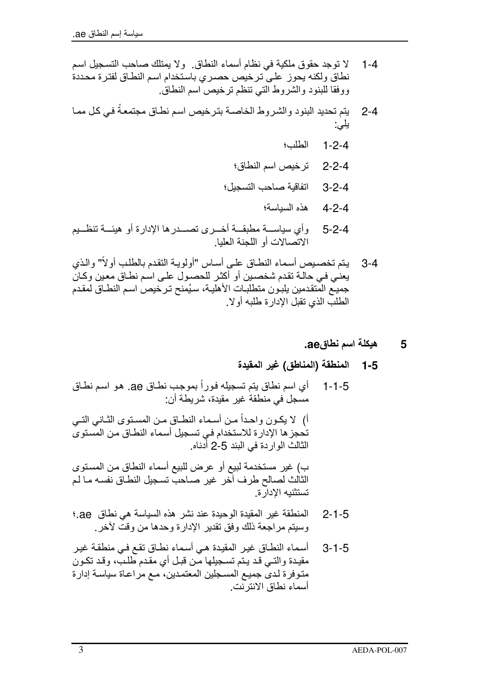- لا توجد حقوق ملكية في نظام أسماء النطاق. و لا يمتلك صاحب التسجيل اسم  $1 - 4$ نطاق ولكنه يحوز على ترخيص حصري باستخدام اسم النطاق لفترة محددة ووفقا للبنود والشروط التي تنظم ترخيص اسم النطاق
- يتم تحديد البنود والشر وط الخاصــة بتر خيص اسم نطــاق مجتمعـةً فـي كـل ممــا  $2 - 4$ يلي:
	- الطلب؛  $1 - 2 - 4$
	- ترخيص اسم النطاق؛  $2 - 2 - 4$
	- اتفاقبة صاحب التسجبل؛  $3 - 2 - 4$ 
		- هذه السياسة؛  $4 - 2 - 4$
- وأي سياســــة مطبقــــة أخــــرى نصـــــدرها الإدارة أو هيئــــة ننظـــيم  $5 - 2 - 4$ الاتصالات أو اللجنة العلبا.
- يتم تخصيص أسماء النطـاق علـى أسـاس "أولويـة النقدم بالطلب أولأ" والذي  $3 - 4$ يعني في حالـة تقدم شخصـين أو أكثـر للحصـول علـى اسم نطـاق معين وكـان جميع المتقدمين يلبون منطلبات الأهلية، سيُمنح ترخيص اسم النطـاق لمقدم الطلب الذي نقبل الإدار ة طلبه أو لا .
	- هيكلة اسم نطاقea. 5
	- المنطقة (المناطق) غير المقيدة  $1 - 5$
- أي اسم نطاق بِنم تسجيلِه فوراً بموجب نطـاق ae. هو اسم نطـاق  $1 - 1 - 5$ مسجل في منطقة غير مقيدة، شريطة أن:

أ) لا يكـون واحـداً مـن أسـماء النطــاق مـن المسـنوى الثــانـي التــي تحجز ها الإدارة للاستخدام في تسجيل أسماء النطـاق مـن المسـتوىّ الثالث الواردة في البند 5-2 أدناه.

ب) غير مستخدمة لبيع أو عرض للبيع أسماء النطاق من المستوى الثالث لصالح طرف آخر غير صـاحب تسجيل النطـاق نفسه مـا لـم تستثنيه الادار ة

- المنطقة غير المقيدة الوحيدة عند نشر هذه السياسة هي نطاق ae.  $2 - 1 - 5$ وسيتم مراجعة ذلك وفق تقدير الإدارة وحدها من وقت لأخر
- أسماء النطاق غير المقيدة هي أسماء نطاق نقع في منطقة غير  $3 - 1 - 5$ مقيدة والتـي قـد يـتم تسـجيلها مّـن قبـل أي مقدم طلـبٌ، وقد تكـون متوفرة لدى جميع المسجلين المعتمدين، مع مراعاة سياسة إدارة أسماء نطاق الانتر نت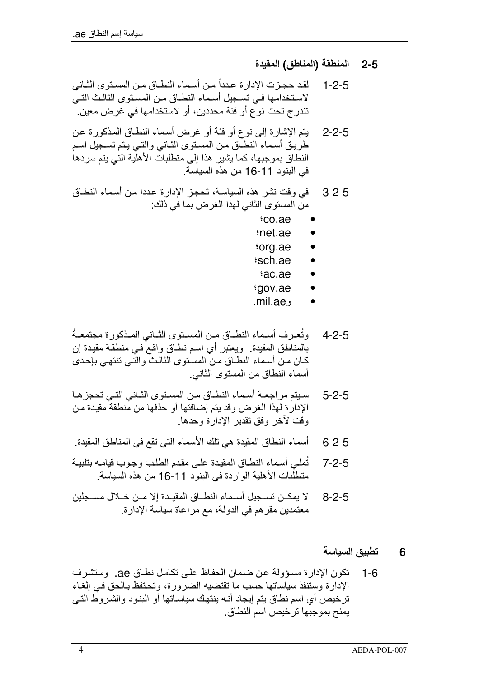- المنطقة (المناطق) المقيدة  $2 - 5$
- لقد حجزت الإدار ة عدداً من أسماء النطــاق مـن المسـتو ي الثــانـي  $1 - 2 - 5$ لاستخدامها فـي تسـجيل أسـماء النطــاق مـن المسـتوى الثالـث التـي تندر ج تحت نو ع أو فئة محددين، أو الاستخدامها في غر ض معين.
- يتم الإشارة إلى نوع أو فئة أو غرض أسماء النطاق المذكورة عن  $2 - 2 - 5$ طرَّ بِـقِ أسماء النطَّاقِ مـنِ المسنوِّي الثَّـاني والنَّـي بِـنم تسـجيل اسـم النطاق بموجبها، كما يشير هذا إلى منطلباتٌ الأهلَّية التي يتم سردها في البنود 11-16 من هذه السياسة.
- في وقت نشر ٍ هذه السياسة، تحجز الإدار ة عددا من أسماء النطاق  $3 - 2 - 5$ من المستوى الثاني لهذا الغرض بما في ذلك:
	- tco.ae
	- inet.ae
	- org.ae
	- sch.ae
	- ac.ae
	- tgov.ae
	- و mil.ae.
- وتُعرف أسـماء النطــاق مــن المسـنوع الشـانـي المـذكورة مجتمعـةُ  $4 - 2 - 5$ بالمناطق المقيدة. ويعتبر أي اسم نطـاق واقـع ْفـي منطقـة مقيدة إن كـان مـن أسـمـاء النطـاق مـن المسـنوى الثـالـثّ والتـى تنتهـى بإحـدى أسماء النطاق من المستو ي الثاني.
- سبتم مراجعة أسماء النطاق من المستوى الثاني التي تحجزها  $5 - 2 - 5$ الإدارة لهذا الغرض وقد يتم إضافتها أو حذفها من منطقة مقيدة من وقت لأخر وفق تقدير الإدارة وحدها.
- أسماء النطاق المقيدة هي تلك الأسماء التي تقع في المناطق المقيدة  $6 - 2 - 5$
- نُملِّي أسماء النطاق المقيدة على مقدم الطلب وجوب قيامـه بتلبيـة  $7 - 2 - 5$ متطلَّبات الأهلية الوار دة في البنو د 11-16 من هذه السياسة.
- لا يمكــن تســجيل أســمـاء النطــاق المقيــدة إلا مــن خــلال مســجلين  $8 - 2 - 5$ معتمدين مقر هم في الدولة، مع مر اعاة سياسة الإدار ة.
	- تطببق السباسة 6
- تكون الإدارة مسؤولة عن ضمان الحفاظ على تكامل نطاق ae. وستشرف  $1 - 6$ الإدار ة وستنفذ سياساتها حسب ما تقتضيه الضر ور ة، وتحتفظ بـالحق فـي إلغـاء ترخيص أي اسم نطاق يتم إيجاد أنـه ينتهك سياسـاتها أو البنـود والشـروط التـي يمنح بموجبها تر خيص اسم النطاق.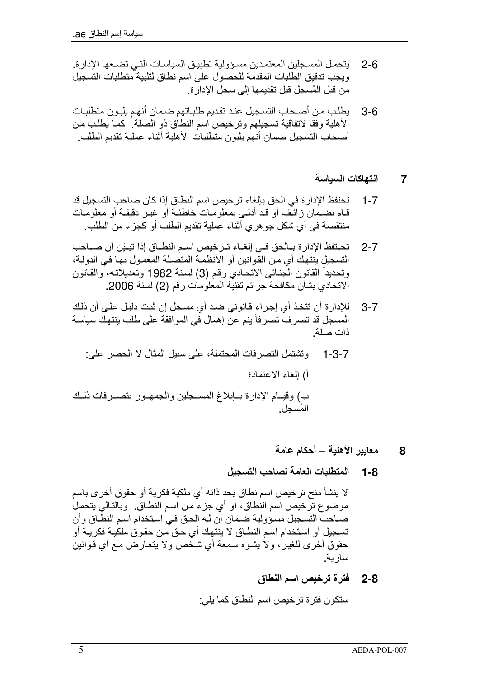- بنحمـل المسـجلين المعتمـدين مسـؤ و ليـة تطبيـق السياسـات التـي تضـعـها الإدار ة  $2 - 6$ ويجب تدقيق الطلبات المقدمة للحصول على اسم نطاق لتلبية متطلبات التسجيل من قبل المُسجل قبل تقديمها إلى سجل الإدار ة.
- يطلب من أصـحاب التسـجيل عند تقديم طلبـاتهم ضـمان أنـهم يلبـو ن متطلبـات  $3-6$ الأهلية وفقا لاتفاقية تسجيلهم وترخيص اسم النطاق ذو الصلة. كما يطلب من أصحاب التسجيل ضمان أنهم يلبون متطلبات الأهلية أثناء عملية تقديم الطلب

# انتهاكات السياسة  $\overline{7}$

- تحتفظ الإدار ة في الحق بالغاء تر خيص اسم النطاق إذا كان صاحب التسجيل قد  $1 - 7$ قـام بضـمان زائـف أو قد أدلـي بمعلومـات خاطئـة أو غيـر دقيقـة أو معلومـات منتقصة في أي شكل جو هر ي أثناء عملية تقديم الطلب أو كجز ء من الطلب.
- تحنفظ الإدارة بـالحق فـي إلغـاء تـرخيص اسـم النطــاق إذا تبـيَن أن صــاحب  $2 - 7$ التسجيل ينتهك أي من القوانين أو الأنظمة المتصلة المعمول بها في الدولـة، وتحديداً القانون الجنائي الاتحادي رقم (3) لسنة 1982 وتعديلاته، والقانون الاتحادي بشأن مكافحة جرائم تقنية المعلومات رقم (2) لسنة 2006.
- للإدار ة أن تتخذ أي إجر اء قانوني ضد أي مسجل إن ثبت دليل على أن ذلك  $3 - 7$ المسجل قد تصرف تصرفاً ينم عن إهمال في الموافقة على طلب ينتهك سياسة ذات صلة
- ونشتمل التصريفات المحتملة، على سبيل المثال لا الحصر على:  $1 - 3 - 7$ أ) الغاء الاعتماد؛ ب) وقيــام الإدارة بـــابلاغ المســجلين والجمهــور بتصـــرفات ذلــك المُسحل
	- معايير الأهلية ــ أحكام عامة 8
	- المتطلبات العامة لصاحب التسجيل - 1-8

لا ينشأ منح ترخيص اسم نطاق بحد ذاته أي ملكية فكرية أو حقوق أخرى باسم موضوع ترخيص اسم النطاق، أو أي جزءٍ من اسم النطــاق. وبالتـالـي يتحمل صـاحب التسـجيل مسـؤولية ضـمان أن لـه الحـق فـي اسـتخدام اسـم النطّـاق وأن تسجيل أو استخدام اسم النطـاق لا ينتهك أي حـق من حقوق ملكيـة فكريـة أو حقوق أخرى للغير ، ولا يشوه سمعة أي شخص ولا يتعارض مع أي قوانين سار ية.

> **2-8 فترة ترخيص اسم النطاق** ستكو ن فتر ة تر خيص اسم النطاق كما يلي: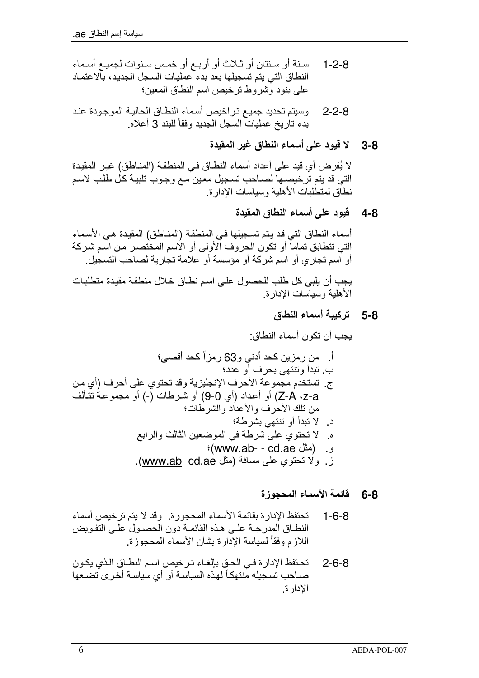- سنة أو سنتان أو ثـلاث أو أربـع أو خمـس سنوات لجميـع أسـماء  $1 - 2 - 8$ النطاق التي يتم تسجيلها بعد بدء عمليات السجل الجديد، بالاعتماد على بنود وشروط ترخيص اسم النطاق المعين؛
- وسيتم تحديد جميع تراخيص أسماء النطاق الحالية الموجودة عند  $2 - 2 - 8$ بدء تاريخ عمليات السجل الجديد وفقاً للبند 3 أعلاه.
	- لا قيود على أسماء النطاق غير المقيدة  $3 - 8$

لا يُفرِض أي قيد على أعداد أسماء النطـاق في المنطقة (المنـاطق) غير المقيدة التي قد يتم ترخيصـها لصـاحب تسـجيل معين مـع وجـوب تلبيـة كـل طلب لاسـم نطاق لمنطلبات الأهلبة وسباسات الادار ة

# 4-8 \_ قيود على أسماء النطاق المقيدة

أسماء النطاق التي قد يتم تسجيلها في المنطقة (المنـاطق) المقيدة هـي الأسماء التي تتطابق تماماً أو تكون الحروف الأولى أو الاسم المختصـر مـن اسم شركة أو اسم تجاري أو اسم شركة أو مؤسسة أو علامة تجارية لصاحب التسجيل. يجب أن يلبي كل طلب للحصول على اسم نطاق خلال منطقة مقيدة متطلبات

الأهلية وسياسات الإدارة

# 8-5 تركيبة أسماء النطاق

# قائمة الأسماء المحجوزة  $6 - 8$

- تحتفظ الإدار ة بقائمة الأسماء المحجوزة. وقد لا يتم ترخيص أسماء  $1 - 6 - 8$ النطــاق المدرجــة علــى هـذه القائمــة دون الحصــول علــى التفـويض اللازم وفقأ لسياسة الإدارة بشأن الأسماء المحجوزة.
- تحتفظ الإدارة في الحق بإلغاء ترخيص اسم النطاق الذي يكون  $2 - 6 - 8$ صـاحب تسـجيله مّنتهكـاً لهذه السياسـة أو أي سياسـة أخـرى تضـعها الادار ة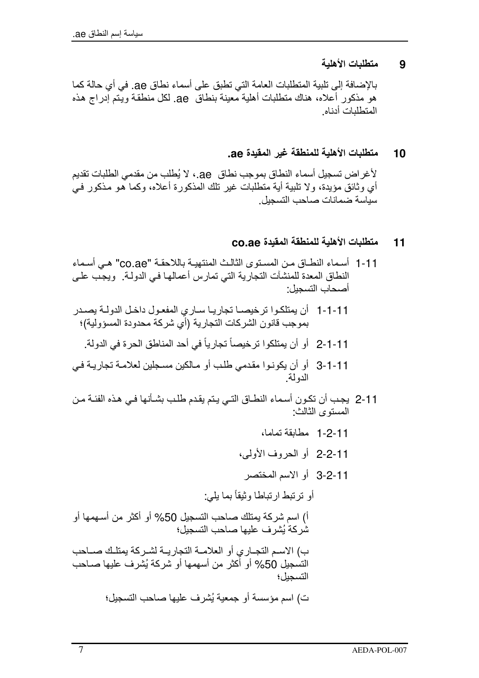متطلبات الأهلية 9

بالإضافة إلى تلبية المتطلبات العامة التي تطبق على أسماء نطاق ae. في أي حالة كما هو مذكور أعلاه، هناك منطلبات أهلية معينة بنطاق ae. لكل منطقة ويتم إدراج هذه المتطلبات أدناه

# متطلبات الأهلية للمنطقة غير المقيدة ae. 10

لأغر اض تسجيل أسماء النطاق بموجب نطاق ae. ، لا يُطلب من مقدمي الطلبات تقديم أي وثائق مؤيدة، ولا تلبية أية متطلبات غير تلك المذكورة أعلاه، وكما هو مذكور في سياسة ضمانات صاحب التسحيل

# متطلبات الأهلية للمنطقة المقيدة co.ae  $11$

- 1-1 أسماء النطــاق مـن المسـتو ي الثالـث المنتهيــة باللاحقـة "co.ae" هــى أسـماء النطاق المعدة للمنشآت التجارية التي تمارس أعمالها في الدولـة. ويجب علـي أصحاب التسجبل:
- 1-1-1 أن يمتلكوا ترخيصـا تجاريـا سـاري المفعـول داخـل الدولـة يصـدر بموجب فانون الشركات التجارية (أي شركة محدودة المسؤولية)؛
	-
- 11-11 أو أن يكونـوا مقدمي طلب أو مـالكين مسـجلين لعلامـة تجاريـة فـي الدولة
- 11-2 يجب أن تكون أسماء النطـاق التـى يـتم يقدم طلـب بشـأنها فـي هـذه الفئــة مـن المسنوى الثالث:
- 1-2-11 مطابقة تماما، 2-2-11 أو الحروف الأولى، 3-2-11 أو الاسم المختصر أو ترتبط ارتباطا وثيقاً بما يلي: أ) اسم شر كة يمتلك صـاحب التسجيل 50% أو أكثر من أسـهمها أو شْرِ كَةُ بُشْرٍ ف عليها صاحبِ التسجيلِ؛ ب) الاسم النجـار ي أو العلامــة النجار يــة لشـر كـة يمتلـك صــاحب التسجيل 50% أو أكثر من أسهمها أو شركة يُشرف عليها صـاحب التسجبل؛ ت) اسم مؤسسة أو جمعية يُشرف عليها صـاحب التسجيل؛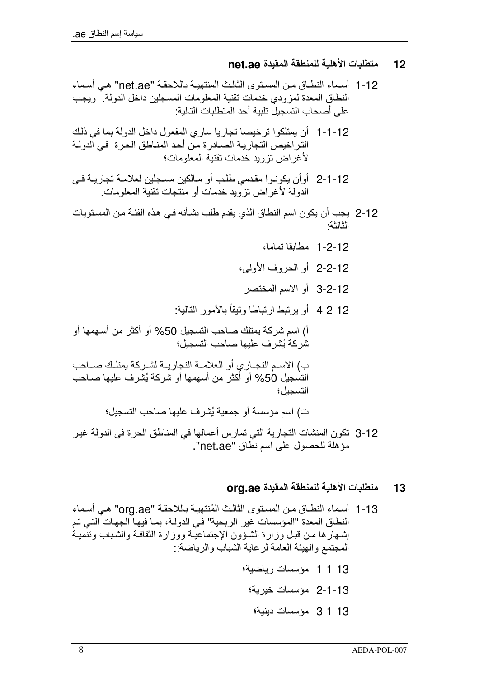# متطلبات الأهلية للمنطقة المقيدة net.ae  $12$

- 1-12 أسماء النطـاق مـن المسـنو ي الثالـث المنتهيــة بـاللاحقـة "net.ae" هـى أسـمـاء النطاق المعدة لمزودي خدمات تقنية المعلومات المسجلين داخل الدولة ويجب على أصحاب التسحيل تلبية أحد المتطلبات التالية:
- 1-1-1 أن يمتلكوا ترخيصا تجاريا ساري المفعول داخل الدولة بما في ذلك التر اخيص التجار بــة الصــادر ة مـن أحـد المنـاطـق الـحـر ة فـي الدو لــة لأغراض تزويد خدمات تقنية المعلومات؛
- 12-1-2 أوأن يكونـوا مقدمي طلـب أو مـالكين مسـجلين لعلامـة تجاريـة فـي الدولة لأغر اض تزوَّ بد خدمات أو منتجات تقنبة المعلومات.
- 2-12 يجب أن يكون اسم النطاق الذي يقدم طلب بشأنه في هذه الفئة من المستويات الثالثة·
	- 1-2-12 مطابقا تماما،
	- 2-2-12 أو الحروف الأولى،
	- 3-2-12 أو الاسم المختصر
	- 4-2-12 أو يرتبط ارتباطا وثيقاً بالأمور التالية:

أ) اسم شركة بمتلك صاحب التسجيل 50% أو أكثر من أسهمها أو شر كة بُشر ف عليها صاحب التسجيل؛

ب) الاسم التجـاري أو العلامــة التجاريــة لشـركة يمتلـك صــاحب التسجيل 50% أو أكثر من أسهمها أو شركة يُشرف عليها صـاحب التسحيل؛

ت) اسم مؤسسة أو جمعية يُشر ف عليها صباحب التسجيل؛

3-12 نكون المنشآت التجارية التي تمارس أعمالها في المناطق الحرة في الدولة غير موَّ هلة للحصول على اسمِ نطاق "net.ae".

## متطلبات الأهلية للمنطقة المقيدة ora.ae 13

1-13 أسماء النطــاق مـن المستوى الثالـث المُنتهيــة بـاللاحقـة "org.ae" هـي أسـمـاء النطاق المعدة "المؤسسات غير الربحية" في الدولـة، بمـا فيهـا الجهـات التـي تـم إشهارها من قبل وزارة الشؤون الإجتماعية ووزارة الثقافة والشباب وتنمية المجتمع والهيئة العامة لرعاية الشباب والرياضة::

- 1-1-13 مؤسسات رباضية؛
	- 13-1-2 مؤسسات خيرية؛
		- 13-1-3 مؤسسات دينية؛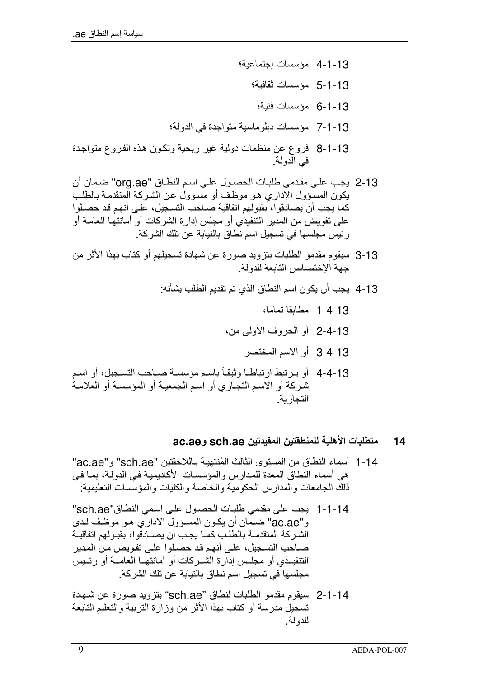- 1-1-13 مؤسسات اجتماعية؛
	- 5-1-13 مؤسسات ثقافبة؛
	- 13-1-6 مؤسسات فنبة؛
- 13-1-7 مؤسسات دبلوماسية متواجدة في الدولة؛
- 8-1-13 فروع عن منظمات دولية غير ربحية وتكون هذه الفروع متواجدة في الدولة.
- 2-13 يجب على مقدمي طلبات الحصول على اسم النطـاق "org.ae" ضمان أن يكون المسؤول الإدار ي هو موظف أو مسؤولٌ عن الشركة المتقدمة بالطلب كما يجب أن يصادقوا، بقبولهم اتفاقية صـاحب التسـجيل، علـي أنـهم قد حصـلوا على تفويض من المدير التنفيذي أو مجلس إدارة الشركات أو أمانتها العامـة أو رِ نَبِسِ مجلسها في تسجيل اسم نطاق بالنيابة عن تلك الشركة.
- 3-13 سيقوم مقدمو الطلبات بتزويد صورة عن شهادة تسجيلهم أو كتاب بهذا الأثر من جهة الاختصاص التابعة للدولة
	- 4-13 يجب أن يكون اسم النطاق الذي تم تقديم الطلب بشأنه:
		- 1-4-13 مطابقا تماما،
		- 13-4-2 أو الحروف الأولى من،
			- 3-4-13 أو الإسم المختصر
- 4-4-13 أو يرتبط ارتباطـا وثيقـاً باسـم مؤسسـة صـاحب التسـجيل، أو اسـم شركة أو الاسم التجاري أو اسم الجمعيـة أو المؤسسـة أو العلامـة التحار بة

## متطلبات الأهلية للمنطقتين المقيدتين sch.ae وac.ae 14

- 1-14 أسماء النطاق من المسنو ي الثالث المُنتهبـة بـاللاحقتبن "sch.ae" و "ac.ae" هي أسماء النطاق المعدة للمدارس والمؤسسات الأكاديمية في الدولة، بمـا في ذلك الجامعات و المدار س الحكومية و الخاصنة و الكليات و المؤسسات التعليمية:
- 1-1-14 يجب على مقدمي طلبات الحصول على اسمي النطـاق"sch.ae" و"ac.ae" ضـمان أن يكـون المسـؤول الاداري هـو موظـف لـدي الشر كة المتقدمـة بالطلـب كمـا بجـب أن بصــادقو ا، بقبـو لـهم اتفاقبــة صـاحب التسـجيل، علـي أنـهم قد حصـلوا علـي تفـويض مـن المـدير التنفيــذي أو مجلــس إدار ة الشــركات أو أمانتهــا العامــة أو رئــيس مجلسها في تسجيل اسم نطاق بالنيابة عن تلك الشركة.
- 14-1-2 سبقوم مقدمو الطلبات لنطاق "sch.ae" بتزويد صورة عن شـهادة تسجيلٌ مدرسة أو كتاب بهذا الأثر من وزارة التربية والتعليم التابعة للدو لة.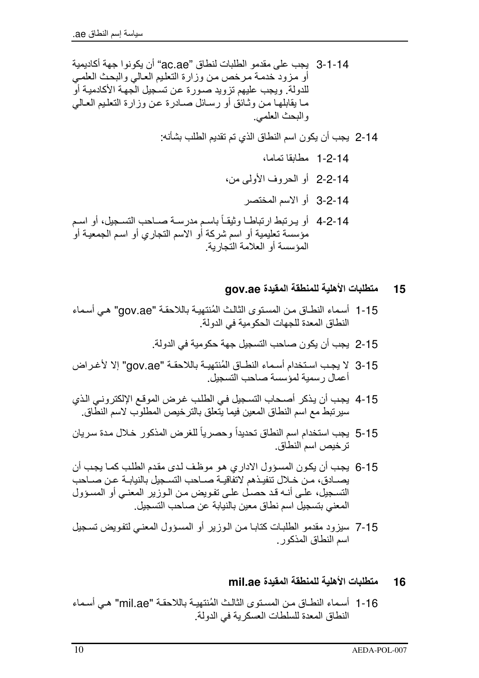- 14-1-3 بجب على مقدمو الطلبات لنطاق "ac.ae" أن بكو نو ا جهة أكادبمبة أو مزود خدمة مرخص من وزارة التعليم العالي والبحث العلمي للدولة. ويجب عليهم تزويد صـورة عن تسـجيل الـجمة الأكادميـة أو مـا بقابلهـا مـن وثـائق أو رسـائل صــادرة عـن وزارة التعليم العـالـي و البحث العلمي.
	- 14-2 بجب أن بكون اسم النطاق الذي تم تقديم الطلب بشأنه:
		- 1-2-14 مطابقا تماما،
		- 14-2-2 أو الحروف الأولى من،
			- 3-2-14 أو الإسم المختصر
- 4-2-14 أو يرتبط ارتباطـا وثيقـاً باسـم مدرسـة صـاحب التسـجيل، أو اسـم مؤسسة نعليمية أو اسم شركة أو الاسم النجاري أو اسم الجمعية أو المؤسسة أو العلامة التجار بة.

## متطلبات الأهلية للمنطقة المقيدة gov.ae 15

- 1-15 أسماء النطـاق مـن المستوى الثالث المُنتهيـة باللاحقـة "gov.ae" هـى أسماء النطاق المعدة للجهات الحكومبة في الدولة.
	- 2-15 يجب أن يكون صاحب التسجيل جهة حكومية في الدولة.
- 3-15 لا يجب استخدام أسماء النطـاق المُنتهيــة باللاحقــة "gov.ae" إلا لأغـراض أعمال رسمية لمؤسسة صاحب التسجيل.
- 4-15 يجب أن يذكر أصحاب التسجيل في الطلب غرض الموقع الإلكتروني الذي سير تبط مع اسم النطاق المعين فيما يتّعلق بالتر خيص المطلوب لاسم النطّاق.
- 5-15 يجب استخدام اسم النطاق تحديداً وحصر ياً للغرض المذكور خلال مدة سريان تر خيص اسم النطاق
- 6-15 يجب أن يكون المسؤول الاداري هو موظف لدى مقدم الطلب كما يجب أن بصبادق، من خلال تنفيذهم لاتفاقيـة صباحب التسـجيل بالنبابـة عـن صباحب التسجيلّ، علّـى أنــه قد حصـل علـى تفـويض مـن الـوزير المعنـى أو المسـؤول المعنى بتسجيل اسم نطاق معبن بالنبابة عن صاحب التسجيل.
- 7-15 سيزود مقدمو الطلبات كتابـا مـن الـوزير أو المسؤول المعنـى لتفويض تسـجيل اسم النطاق المذكور

#### متطلبات الأهلية للمنطقة المقيدة mil.ae 16

1-16 أسماء النطـاق مـن المسـنو ي الثالـث المُنتهبـة باللاحقـة "mil.ae" هـي أسـماء النطاق المعدة للسلطات العسكر بة في الدولة.